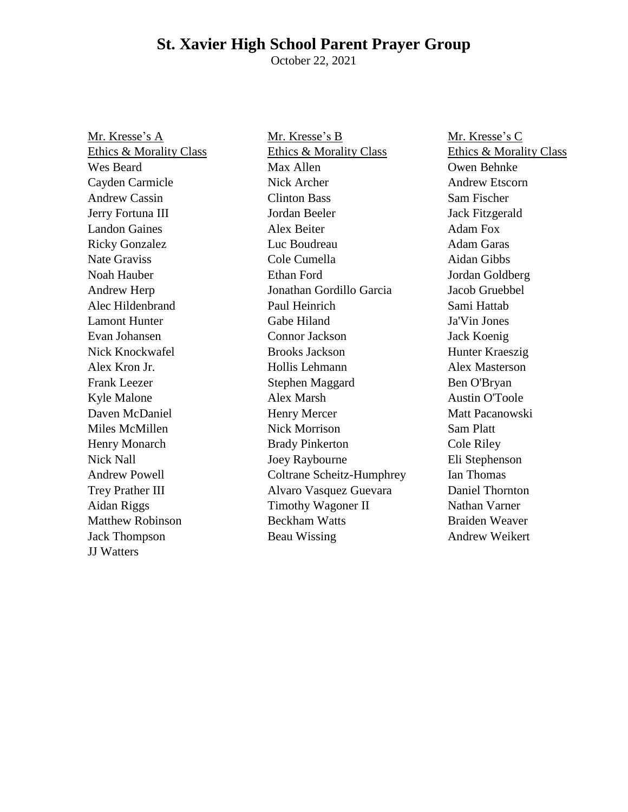# **St. Xavier High School Parent Prayer Group**

October 22, 2021

Mr. Kresse's A Ethics & Morality Class Wes Beard Cayden Carmicle Andrew Cassin Jerry Fortuna III Landon Gaines Ricky Gonzalez Nate Graviss Noah Hauber Andrew Herp Alec Hildenbrand Lamont Hunter Evan Johansen Nick Knockwafel Alex Kron Jr. Frank Leezer Kyle Malone Daven McDaniel Miles McMillen Henry Monarch Nick Nall Andrew Powell Trey Prather III Aidan Riggs Matthew Robinson Jack Thompson JJ Watters

Mr. Kresse's B Ethics & Morality Class Max Allen Nick Archer Clinton Bass Jordan Beeler Alex Beiter Luc Boudreau Cole Cumella Ethan Ford Jonathan Gordillo Garcia Paul Heinrich Gabe Hiland Connor Jackson Brooks Jackson Hollis Lehmann Stephen Maggard Alex Marsh Henry Mercer Nick Morrison Brady Pinkerton Joey Raybourne Coltrane Scheitz-Humphrey Alvaro Vasquez Guevara Timothy Wagoner II Beckham Watts Beau Wissing

Mr. Kresse's C Ethics & Morality Class Owen Behnke Andrew Etscorn Sam Fischer Jack Fitzgerald Adam Fox Adam Garas Aidan Gibbs Jordan Goldberg Jacob Gruebbel Sami Hattab Ja'Vin Jones Jack Koenig Hunter Kraeszig Alex Masterson Ben O'Bryan Austin O'Toole Matt Pacanowski Sam Platt Cole Riley Eli Stephenson Ian Thomas Daniel Thornton Nathan Varner Braiden Weaver Andrew Weikert